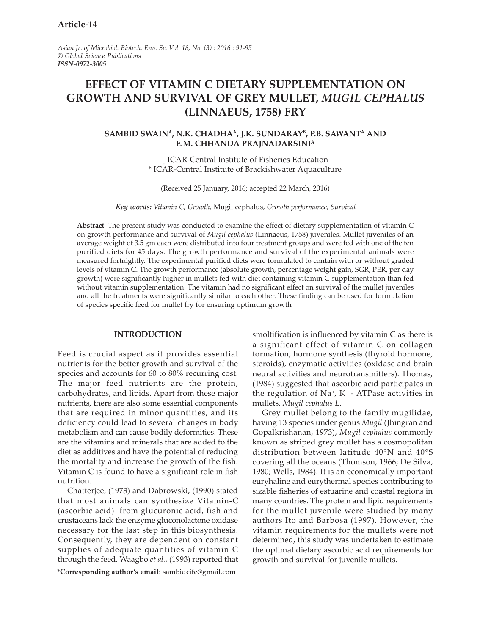Asian Jr. of Microbiol. Biotech. Env. Sc. Vol. 18, No. (3) : 2016 : 91-95 © Global Science Publications ISSN-0972-3005

# EFFECT OF VITAMIN C DIETARY SUPPLEMENTATION ON GROWTH AND SURVIVAL OF GREY MULLET, MUGIL CEPHALUS (LINNAEUS, 1758) FRY

## SAMBID SWAIN<sup>A</sup>, N.K. CHADHA<sup>A</sup>, J.K. SUNDARAY<sup>B</sup>, P.B. SAWANT<sup>A</sup> AND E.M. CHHANDA PRAJNADARSINI<sup>A</sup>

ICAR-Central Institute of Fisheries Education **b** ICAR-Central Institute of Brackishwater Aquaculture

(Received 25 January, 2016; accepted 22 March, 2016)

Key words: Vitamin C, Growth, Mugil cephalus, Growth performance, Survival

Abstract–The present study was conducted to examine the effect of dietary supplementation of vitamin C on growth performance and survival of Mugil cephalus (Linnaeus, 1758) juveniles. Mullet juveniles of an average weight of 3.5 gm each were distributed into four treatment groups and were fed with one of the ten purified diets for 45 days. The growth performance and survival of the experimental animals were measured fortnightly. The experimental purified diets were formulated to contain with or without graded levels of vitamin C. The growth performance (absolute growth, percentage weight gain, SGR, PER, per day growth) were significantly higher in mullets fed with diet containing vitamin C supplementation than fed without vitamin supplementation. The vitamin had no significant effect on survival of the mullet juveniles and all the treatments were significantly similar to each other. These finding can be used for formulation of species specific feed for mullet fry for ensuring optimum growth

#### INTRODUCTION

Feed is crucial aspect as it provides essential nutrients for the better growth and survival of the species and accounts for 60 to 80% recurring cost. The major feed nutrients are the protein, carbohydrates, and lipids. Apart from these major nutrients, there are also some essential components that are required in minor quantities, and its deficiency could lead to several changes in body metabolism and can cause bodily deformities. These are the vitamins and minerals that are added to the diet as additives and have the potential of reducing the mortality and increase the growth of the fish. Vitamin C is found to have a significant role in fish nutrition.

Chatterjee, (1973) and Dabrowski, (1990) stated that most animals can synthesize Vitamin-C (ascorbic acid) from glucuronic acid, fish and crustaceans lack the enzyme gluconolactone oxidase necessary for the last step in this biosynthesis. Consequently, they are dependent on constant supplies of adequate quantities of vitamin C through the feed. Waagbo et al., (1993) reported that

\*Corresponding author's email: sambidcife@gmail.com

smoltification is influenced by vitamin C as there is a significant effect of vitamin C on collagen formation, hormone synthesis (thyroid hormone, steroids), enzymatic activities (oxidase and brain neural activities and neurotransmitters). Thomas, (1984) suggested that ascorbic acid participates in the regulation of Na<sup>+</sup> , K<sup>+</sup> - ATPase activities in mullets, Mugil cephalus L.

Grey mullet belong to the family mugilidae, having 13 species under genus Mugil (Jhingran and Gopalkrishanan, 1973), Mugil cephalus commonly known as striped grey mullet has a cosmopolitan distribution between latitude 40°N and 40°S covering all the oceans (Thomson, 1966; De Silva, 1980; Wells, 1984). It is an economically important euryhaline and eurythermal species contributing to sizable fisheries of estuarine and coastal regions in many countries. The protein and lipid requirements for the mullet juvenile were studied by many authors Ito and Barbosa (1997). However, the vitamin requirements for the mullets were not determined, this study was undertaken to estimate the optimal dietary ascorbic acid requirements for growth and survival for juvenile mullets.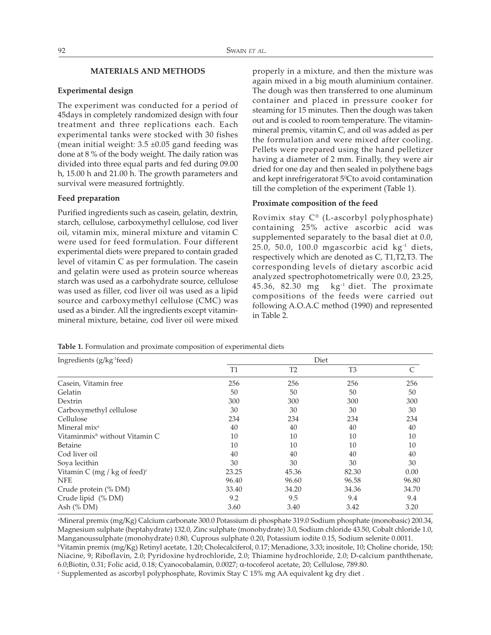#### MATERIALS AND METHODS

#### Experimental design

The experiment was conducted for a period of 45days in completely randomized design with four treatment and three replications each. Each experimental tanks were stocked with 30 fishes (mean initial weight:  $3.5 \pm 0.05$  gand feeding was done at 8 % of the body weight. The daily ration was divided into three equal parts and fed during 09.00 h, 15.00 h and 21.00 h. The growth parameters and survival were measured fortnightly.

#### Feed preparation

Purified ingredients such as casein, gelatin, dextrin, starch, cellulose, carboxymethyl cellulose, cod liver oil, vitamin mix, mineral mixture and vitamin C were used for feed formulation. Four different experimental diets were prepared to contain graded level of vitamin C as per formulation. The casein and gelatin were used as protein source whereas starch was used as a carbohydrate source, cellulose was used as filler, cod liver oil was used as a lipid source and carboxymethyl cellulose (CMC) was used as a binder. All the ingredients except vitaminmineral mixture, betaine, cod liver oil were mixed

properly in a mixture, and then the mixture was again mixed in a big mouth aluminium container. The dough was then transferred to one aluminum container and placed in pressure cooker for steaming for 15 minutes. Then the dough was taken out and is cooled to room temperature. The vitaminmineral premix, vitamin C, and oil was added as per the formulation and were mixed after cooling. Pellets were prepared using the hand pelletizer having a diameter of 2 mm. Finally, they were air dried for one day and then sealed in polythene bags and kept inrefrigeratorat 5<sup>°</sup>Cto avoid contamination till the completion of the experiment (Table 1).

#### Proximate composition of the feed

Rovimix stay C® (L-ascorbyl polyphosphate) containing 25% active ascorbic acid was supplemented separately to the basal diet at 0.0, 25.0, 50.0, 100.0 mgascorbic acid kg-1 diets, respectively which are denoted as C, T1,T2,T3. The corresponding levels of dietary ascorbic acid analyzed spectrophotometrically were 0.0, 23.25, 45.36, 82.30  $mg$  kg<sup>-1</sup> diet. The proximate compositions of the feeds were carried out following A.O.A.C method (1990) and represented in Table 2.

Table 1. Formulation and proximate composition of experimental diets

| Ingredients (g/kg-1feed)                   | Diet           |                |                |       |
|--------------------------------------------|----------------|----------------|----------------|-------|
|                                            | T <sub>1</sub> | T <sub>2</sub> | T <sub>3</sub> |       |
| Casein, Vitamin free                       | 256            | 256            | 256            | 256   |
| Gelatin                                    | 50             | 50             | 50             | 50    |
| Dextrin                                    | 300            | 300            | 300            | 300   |
| Carboxymethyl cellulose                    | 30             | 30             | 30             | 30    |
| Cellulose                                  | 234            | 234            | 234            | 234   |
| Mineral mix <sup>a</sup>                   | 40             | 40             | 40             | 40    |
| Vitaminmix <sup>b</sup> without Vitamin C. | 10             | 10             | 10             | 10    |
| Betaine                                    | 10             | 10             | 10             | 10    |
| Cod liver oil                              | 40             | 40             | 40             | 40    |
| Soya lecithin                              | 30             | 30             | 30             | 30    |
| Vitamin C (mg / kg of feed) $\text{c}$     | 23.25          | 45.36          | 82.30          | 0.00  |
| <b>NFE</b>                                 | 96.40          | 96.60          | 96.58          | 96.80 |
| Crude protein (% DM)                       | 33.40          | 34.20          | 34.36          | 34.70 |
| Crude lipid (% DM)                         | 9.2            | 9.5            | 9.4            | 9.4   |
| Ash $(\%$ DM)                              | 3.60           | 3.40           | 3.42           | 3.20  |

a Mineral premix (mg/Kg) Calcium carbonate 300.0 Potassium di phosphate 319.0 Sodium phosphate (monobasic) 200.34, Magnesium sulphate (heptahydrate) 132.0, Zinc sulphate (monohydrate) 3.0, Sodium chloride 43.50, Cobalt chloride 1.0, Manganoussulphate (monohydrate) 0.80, Cuprous sulphate 0.20, Potassium iodite 0.15, Sodium selenite 0.0011.

b Vitamin premix (mg/Kg) Retinyl acetate, 1.20; Cholecalciferol, 0.17; Menadione, 3.33; inositole, 10; Choline choride, 150; Niacine, 9; Riboflavin, 2.0; Pyridoxine hydrochloride, 2.0; Thiamine hydrochloride, 2.0; D-calcium panththenate, 6.0;Biotin, 0.31; Folic acid, 0.18; Cyanocobalamin, 0.0027; α-tocoferol acetate, 20; Cellulose, 789.80.

<sup>c</sup> Supplemented as ascorbyl polyphosphate, Rovimix Stay C 15% mg AA equivalent kg dry diet .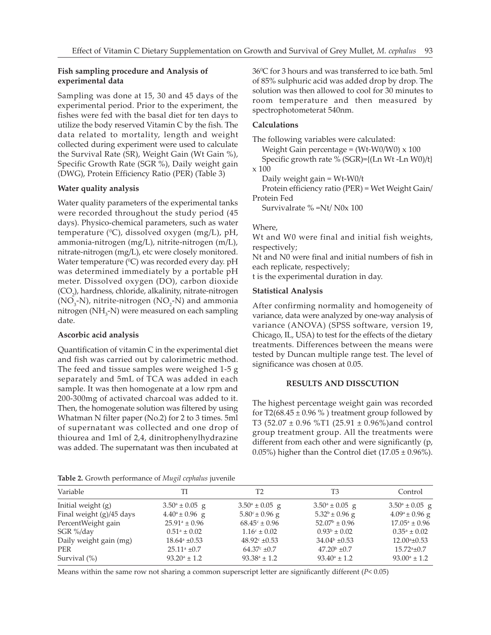## Fish sampling procedure and Analysis of experimental data

Sampling was done at 15, 30 and 45 days of the experimental period. Prior to the experiment, the fishes were fed with the basal diet for ten days to utilize the body reserved Vitamin C by the fish. The data related to mortality, length and weight collected during experiment were used to calculate the Survival Rate (SR), Weight Gain (Wt Gain %), Specific Growth Rate (SGR %), Daily weight gain (DWG), Protein Efficiency Ratio (PER) (Table 3)

## Water quality analysis

Water quality parameters of the experimental tanks were recorded throughout the study period (45 days). Physico-chemical parameters, such as water temperature ( $^0C$ ), dissolved oxygen (mg/L), pH, ammonia-nitrogen (mg/L), nitrite-nitrogen (m/L), nitrate-nitrogen (mg/L), etc were closely monitored. Water temperature (°C) was recorded every day. pH was determined immediately by a portable pH meter. Dissolved oxygen (DO), carbon dioxide  ${\rm (CO}_{_2)}$ , hardness, chloride, alkalinity, nitrate-nitrogen ( $\rm NO_{_3}\text{-}N$ ), nitrite-nitrogen ( $\rm NO_{_2}\text{-}N$ ) and ammonia nitrogen (N $\rm H_{3}$ -N) were measured on each sampling date.

## Ascorbic acid analysis

Quantification of vitamin C in the experimental diet and fish was carried out by calorimetric method. The feed and tissue samples were weighed 1-5 g separately and 5mL of TCA was added in each sample. It was then homogenate at a low rpm and 200-300mg of activated charcoal was added to it. Then, the homogenate solution was filtered by using Whatman N filter paper (No.2) for 2 to 3 times. 5ml of supernatant was collected and one drop of thiourea and 1ml of 2,4, dinitrophenylhydrazine was added. The supernatant was then incubated at

 $36^{\rm o}$ C for 3 hours and was transferred to ice bath. 5ml of 85% sulphuric acid was added drop by drop. The solution was then allowed to cool for 30 minutes to room temperature and then measured by spectrophotometerat 540nm.

## Calculations

The following variables were calculated:

Weight Gain percentage =  $(Wt-W0/W0) \times 100$ 

Specific growth rate % (SGR)={(Ln Wt -Ln W0)/t} x 100

Daily weight gain = Wt-W0/t

Protein efficiency ratio (PER) = Wet Weight Gain/ Protein Fed

Survivalrate % =Nt/ N0x 100

## Where,

Wt and W0 were final and initial fish weights, respectively;

Nt and N0 were final and initial numbers of fish in each replicate, respectively;

t is the experimental duration in day.

## Statistical Analysis

After confirming normality and homogeneity of variance, data were analyzed by one-way analysis of variance (ANOVA) (SPSS software, version 19, Chicago, IL, USA) to test for the effects of the dietary treatments. Differences between the means were tested by Duncan multiple range test. The level of significance was chosen at 0.05.

## RESULTS AND DISSCUTION

The highest percentage weight gain was recorded for T2(68.45  $\pm$  0.96 %) treatment group followed by T3 (52.07 ± 0.96 %T1 (25.91 ± 0.96%)and control group treatment group. All the treatments were different from each other and were significantly (p, 0.05%) higher than the Control diet  $(17.05 \pm 0.96\%)$ .

Table 2. Growth performance of Mugil cephalus juvenile

| Variable                 | TI                        | T2                        | T3                        | Control                   |  |  |
|--------------------------|---------------------------|---------------------------|---------------------------|---------------------------|--|--|
| Initial weight (g)       | $3.50^{\circ} \pm 0.05$ g | $3.50^{\circ} \pm 0.05$ g | $3.50^{\circ} \pm 0.05$ g | $3.50^{\circ} \pm 0.05$ g |  |  |
| Final weight (g)/45 days | $4.40^a \pm 0.96$ g       | $5.80^{\circ} \pm 0.96$ g | $5.32^b \pm 0.96$ g       | $4.09^a \pm 0.96$ g       |  |  |
| PercentWeight gain       | $25.91^{\circ} \pm 0.96$  | $68.45^{\circ} \pm 0.96$  | $52.07^{\rm b} \pm 0.96$  | $17.05^{\circ} \pm 0.96$  |  |  |
| SGR %/day                | $0.51^{\circ} \pm 0.02$   | $1.16^{\circ} \pm 0.02$   | $0.93^b \pm 0.02$         | $0.35^a \pm 0.02$         |  |  |
| Daily weight gain (mg)   | $18.64^{\circ}$ ±0.53     | $48.92^{\circ}$ ±0.53     | $34.04^{\rm b}$ ±0.53     | $12.00^{\circ}$ ±0.53     |  |  |
| <b>PER</b>               | $25.11^{\circ}$ ±0.7      | $64.37^{\circ}$ ±0.7      | $47.20b \pm 0.7$          | $15.72^{\circ}$ ±0.7      |  |  |
| Survival $(\%)$          | $93.20^{\circ} \pm 1.2$   | $93.38^{\circ} \pm 1.2$   | $93.40^{\circ} \pm 1.2$   | $93.00^{\circ} \pm 1.2$   |  |  |
|                          |                           |                           |                           |                           |  |  |

Means within the same row not sharing a common superscript letter are significantly different (P< 0.05)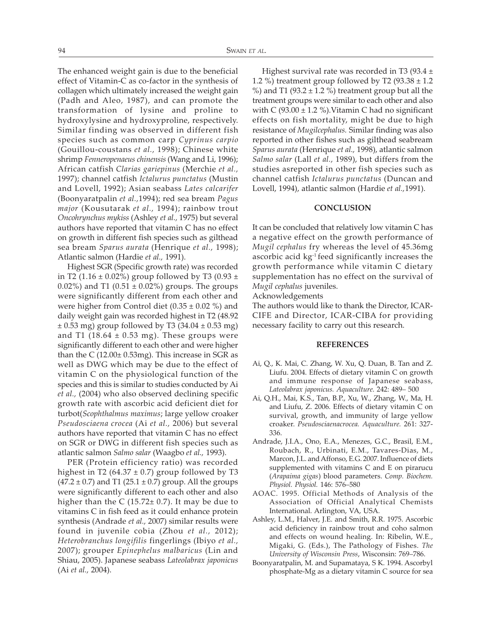The enhanced weight gain is due to the beneficial effect of Vitamin-C as co-factor in the synthesis of collagen which ultimately increased the weight gain (Padh and Aleo, 1987), and can promote the transformation of lysine and proline to hydroxylysine and hydroxyproline, respectively. Similar finding was observed in different fish species such as common carp Cyprinus carpio (Gouillou-coustans et al., 1998); Chinese white shrimp Fenneropenaeus chinensis (Wang and Li, 1996); African catfish Clarias gariepinus (Merchie et al., 1997); channel catfish Ictalurus punctatus (Mustin and Lovell, 1992); Asian seabass Lates calcarifer (Boonyaratpalin et al.,1994); red sea bream Pagus major (Kousutarak et al., 1994); rainbow trout Oncohrynchus mykiss (Ashley et al., 1975) but several authors have reported that vitamin C has no effect on growth in different fish species such as gilthead sea bream Sparus aurata (Henrique et al., 1998); Atlantic salmon (Hardie et al., 1991).

Highest SGR (Specific growth rate) was recorded in T2 (1.16  $\pm$  0.02%) group followed by T3 (0.93  $\pm$ 0.02%) and T1 (0.51  $\pm$  0.02%) groups. The groups were significantly different from each other and were higher from Control diet  $(0.35 \pm 0.02 \%)$  and daily weight gain was recorded highest in T2 (48.92  $\pm$  0.53 mg) group followed by T3 (34.04  $\pm$  0.53 mg) and T1 (18.64  $\pm$  0.53 mg). These groups were significantly different to each other and were higher than the C  $(12.00 \pm 0.53 \text{mg})$ . This increase in SGR as well as DWG which may be due to the effect of vitamin C on the physiological function of the species and this is similar to studies conducted by Ai et al., (2004) who also observed declining specific growth rate with ascorbic acid deficient diet for turbot(Scophthalmus maximus; large yellow croaker Pseudosciaena crocea (Ai et al., 2006) but several authors have reported that vitamin C has no effect on SGR or DWG in different fish species such as atlantic salmon Salmo salar (Waagbo et al., 1993).

PER (Protein efficiency ratio) was recorded highest in T2 (64.37  $\pm$  0.7) group followed by T3  $(47.2 \pm 0.7)$  and T1 (25.1  $\pm$  0.7) group. All the groups were significantly different to each other and also higher than the C  $(15.72 \pm 0.7)$ . It may be due to vitamins C in fish feed as it could enhance protein synthesis (Andrade et al., 2007) similar results were found in juvenile cobia (Zhou et al., 2012); Heterobranchus longifilis fingerlings (Ibiyo et al., 2007); grouper Epinephelus malbaricus (Lin and Shiau, 2005). Japanese seabass Lateolabrax japonicus (Ai et al., 2004).

Highest survival rate was recorded in T3 (93.4  $\pm$ 1.2 %) treatment group followed by T2 (93.38  $\pm$  1.2 %) and T1 (93.2  $\pm$  1.2 %) treatment group but all the treatment groups were similar to each other and also with C (93.00  $\pm$  1.2 %). Vitamin C had no significant effects on fish mortality, might be due to high resistance of Mugilcephalus. Similar finding was also reported in other fishes such as gilthead seabream Sparus aurata (Henrique et al., 1998), atlantic salmon Salmo salar (Lall et al., 1989), but differs from the studies asreported in other fish species such as channel catfish Ictalurus punctatus (Duncan and Lovell, 1994), atlantic salmon (Hardie et al.,1991).

#### **CONCLUSION**

It can be concluded that relatively low vitamin C has a negative effect on the growth performance of Mugil cephalus fry whereas the level of 45.36mg ascorbic acid kg-1 feed significantly increases the growth performance while vitamin C dietary supplementation has no effect on the survival of Mugil cephalus juveniles.

Acknowledgements

The authors would like to thank the Director, ICAR-CIFE and Director, ICAR-CIBA for providing necessary facility to carry out this research.

#### REFERENCES

- Ai, Q., K. Mai, C. Zhang, W. Xu, Q. Duan, B. Tan and Z. Liufu. 2004. Effects of dietary vitamin C on growth and immune response of Japanese seabass, Lateolabrax japonicus. Aquaculture. 242: 489– 500
- Ai, Q.H., Mai, K.S., Tan, B.P., Xu, W., Zhang, W., Ma, H. and Liufu, Z. 2006. Effects of dietary vitamin C on survival, growth, and immunity of large yellow croaker. Pseudosciaenacrocea. Aquaculture. 261: 327- 336.
- Andrade, J.I.A., Ono, E.A., Menezes, G.C., Brasil, E.M., Roubach, R., Urbinati, E.M., Tavares-Dias, M., Marcon, J.L. and Affonso, E.G. 2007. Influence of diets supplemented with vitamins C and E on pirarucu (Arapaima gigas) blood parameters. Comp. Biochem. Physiol. Physiol. 146: 576–580
- AOAC. 1995. Official Methods of Analysis of the Association of Official Analytical Chemists International. Arlington, VA, USA.
- Ashley, L.M., Halver, J.E. and Smith, R.R. 1975. Ascorbic acid deficiency in rainbow trout and coho salmon and effects on wound healing. In: Ribelin, W.E., Migaki, G. (Eds.), The Pathology of Fishes. The University of Wisconsin Press, Wisconsin: 769–786.
- Boonyaratpalin, M. and Supamataya, S K. 1994. Ascorbyl phosphate-Mg as a dietary vitamin C source for sea